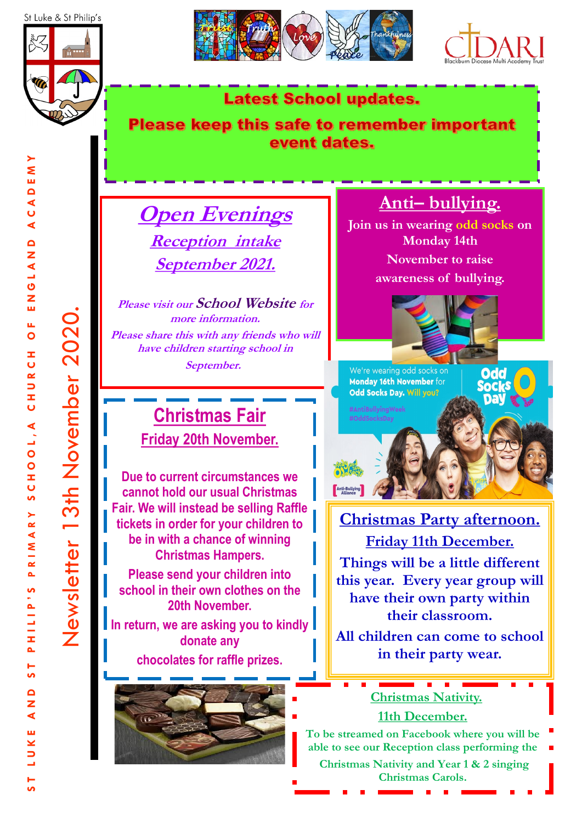





#### **Latest School updates.**

#### Please keep this safe to remember important event dates.

## **Open Evenings Reception intake September 2021.**

**Please visit our School Website for more information. Please share this with any friends who will have children starting school in September.** 

## **Christmas Fair Friday 20th November.**

**Due to current circumstances we cannot hold our usual Christmas Fair. We will instead be selling Raffle tickets in order for your children to be in with a chance of winning Christmas Hampers.**

**Please send your children into school in their own clothes on the 20th November.** 

**In return, we are asking you to kindly donate any chocolates for raffle prizes.**



## **Anti– bullying.**

**Join us in wearing odd socks on Monday 14th November to raise awareness of bullying.** 





**Christmas Party afternoon. Friday 11th December. Things will be a little different this year. Every year group will have their own party within** 

**their classroom.**

**All children can come to school in their party wear.** 

#### **Christmas Nativity. 11th December.**

**To be streamed on Facebook where you will be able to see our Reception class performing the Christmas Nativity and Year 1 & 2 singing Christmas Carols.** 

 $\frac{1}{5}$ 

Newsletter 13th November 2020.

Newsletter 13th November 2020